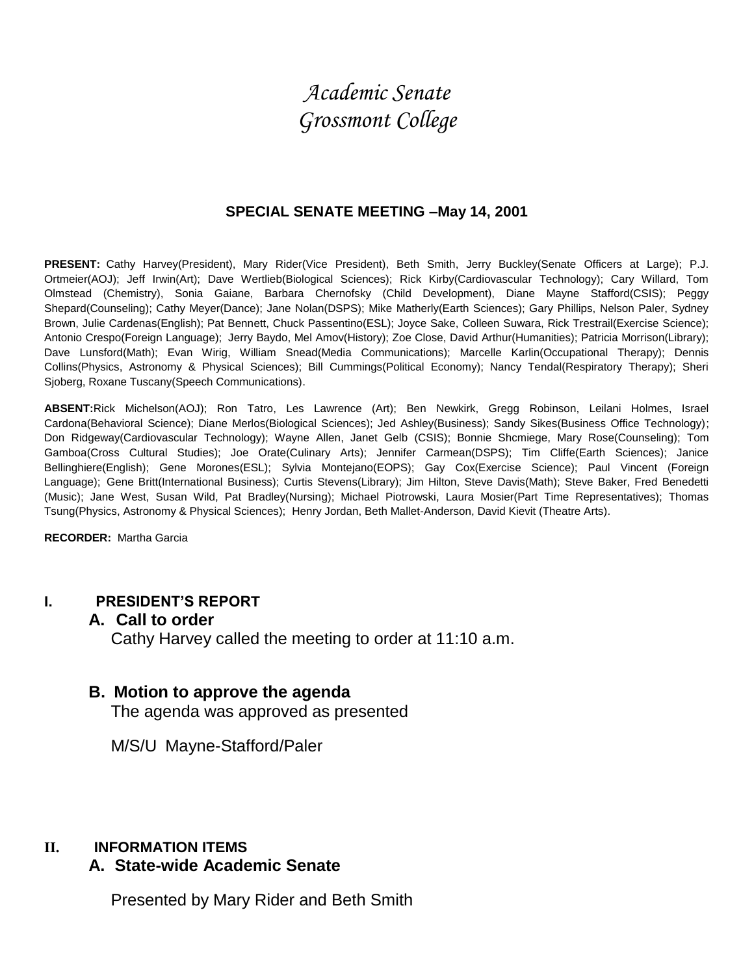# *Academic Senate Grossmont College*

#### **SPECIAL SENATE MEETING –May 14, 2001**

**PRESENT:** Cathy Harvey(President), Mary Rider(Vice President), Beth Smith, Jerry Buckley(Senate Officers at Large); P.J. Ortmeier(AOJ); Jeff Irwin(Art); Dave Wertlieb(Biological Sciences); Rick Kirby(Cardiovascular Technology); Cary Willard, Tom Olmstead (Chemistry), Sonia Gaiane, Barbara Chernofsky (Child Development), Diane Mayne Stafford(CSIS); Peggy Shepard(Counseling); Cathy Meyer(Dance); Jane Nolan(DSPS); Mike Matherly(Earth Sciences); Gary Phillips, Nelson Paler, Sydney Brown, Julie Cardenas(English); Pat Bennett, Chuck Passentino(ESL); Joyce Sake, Colleen Suwara, Rick Trestrail(Exercise Science); Antonio Crespo(Foreign Language); Jerry Baydo, Mel Amov(History); Zoe Close, David Arthur(Humanities); Patricia Morrison(Library); Dave Lunsford(Math); Evan Wirig, William Snead(Media Communications); Marcelle Karlin(Occupational Therapy); Dennis Collins(Physics, Astronomy & Physical Sciences); Bill Cummings(Political Economy); Nancy Tendal(Respiratory Therapy); Sheri Sjoberg, Roxane Tuscany(Speech Communications).

**ABSENT:**Rick Michelson(AOJ); Ron Tatro, Les Lawrence (Art); Ben Newkirk, Gregg Robinson, Leilani Holmes, Israel Cardona(Behavioral Science); Diane Merlos(Biological Sciences); Jed Ashley(Business); Sandy Sikes(Business Office Technology); Don Ridgeway(Cardiovascular Technology); Wayne Allen, Janet Gelb (CSIS); Bonnie Shcmiege, Mary Rose(Counseling); Tom Gamboa(Cross Cultural Studies); Joe Orate(Culinary Arts); Jennifer Carmean(DSPS); Tim Cliffe(Earth Sciences); Janice Bellinghiere(English); Gene Morones(ESL); Sylvia Montejano(EOPS); Gay Cox(Exercise Science); Paul Vincent (Foreign Language); Gene Britt(International Business); Curtis Stevens(Library); Jim Hilton, Steve Davis(Math); Steve Baker, Fred Benedetti (Music); Jane West, Susan Wild, Pat Bradley(Nursing); Michael Piotrowski, Laura Mosier(Part Time Representatives); Thomas Tsung(Physics, Astronomy & Physical Sciences); Henry Jordan, Beth Mallet-Anderson, David Kievit (Theatre Arts).

**RECORDER:** Martha Garcia

#### **I. PRESIDENT'S REPORT**

#### **A. Call to order**

Cathy Harvey called the meeting to order at 11:10 a.m.

#### **B. Motion to approve the agenda**

The agenda was approved as presented

M/S/U Mayne-Stafford/Paler

#### **II. INFORMATION ITEMS**

#### **A. State-wide Academic Senate**

Presented by Mary Rider and Beth Smith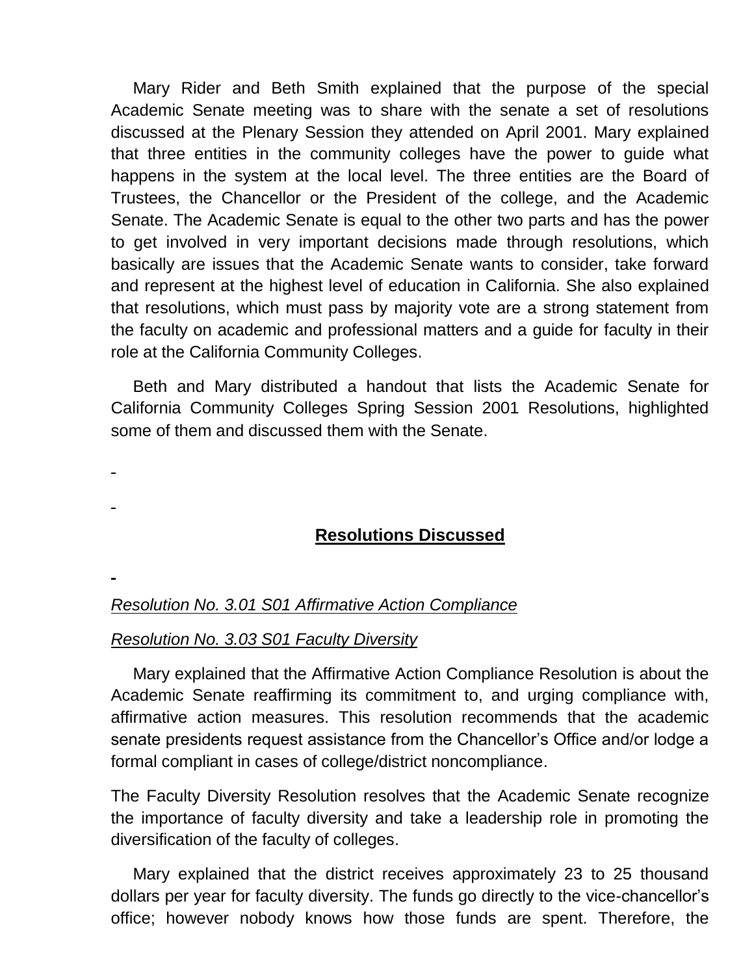Mary Rider and Beth Smith explained that the purpose of the special Academic Senate meeting was to share with the senate a set of resolutions discussed at the Plenary Session they attended on April 2001. Mary explained that three entities in the community colleges have the power to guide what happens in the system at the local level. The three entities are the Board of Trustees, the Chancellor or the President of the college, and the Academic Senate. The Academic Senate is equal to the other two parts and has the power to get involved in very important decisions made through resolutions, which basically are issues that the Academic Senate wants to consider, take forward and represent at the highest level of education in California. She also explained that resolutions, which must pass by majority vote are a strong statement from the faculty on academic and professional matters and a guide for faculty in their role at the California Community Colleges.

Beth and Mary distributed a handout that lists the Academic Senate for California Community Colleges Spring Session 2001 Resolutions, highlighted some of them and discussed them with the Senate.

# **Resolutions Discussed**

*Resolution No. 3.01 S01 Affirmative Action Compliance*

#### *Resolution No. 3.03 S01 Faculty Diversity*

Mary explained that the Affirmative Action Compliance Resolution is about the Academic Senate reaffirming its commitment to, and urging compliance with, affirmative action measures. This resolution recommends that the academic senate presidents request assistance from the Chancellor's Office and/or lodge a formal compliant in cases of college/district noncompliance.

The Faculty Diversity Resolution resolves that the Academic Senate recognize the importance of faculty diversity and take a leadership role in promoting the diversification of the faculty of colleges.

Mary explained that the district receives approximately 23 to 25 thousand dollars per year for faculty diversity. The funds go directly to the vice-chancellor's office; however nobody knows how those funds are spent. Therefore, the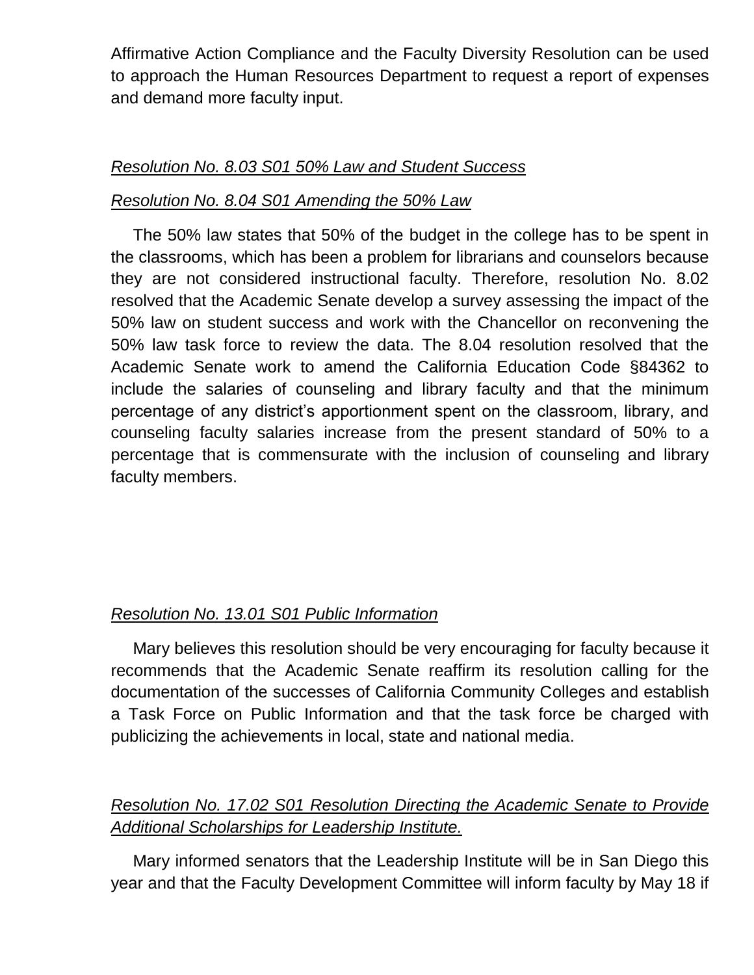Affirmative Action Compliance and the Faculty Diversity Resolution can be used to approach the Human Resources Department to request a report of expenses and demand more faculty input.

## *Resolution No. 8.03 S01 50% Law and Student Success*

## *Resolution No. 8.04 S01 Amending the 50% Law*

The 50% law states that 50% of the budget in the college has to be spent in the classrooms, which has been a problem for librarians and counselors because they are not considered instructional faculty. Therefore, resolution No. 8.02 resolved that the Academic Senate develop a survey assessing the impact of the 50% law on student success and work with the Chancellor on reconvening the 50% law task force to review the data. The 8.04 resolution resolved that the Academic Senate work to amend the California Education Code §84362 to include the salaries of counseling and library faculty and that the minimum percentage of any district's apportionment spent on the classroom, library, and counseling faculty salaries increase from the present standard of 50% to a percentage that is commensurate with the inclusion of counseling and library faculty members.

# *Resolution No. 13.01 S01 Public Information*

Mary believes this resolution should be very encouraging for faculty because it recommends that the Academic Senate reaffirm its resolution calling for the documentation of the successes of California Community Colleges and establish a Task Force on Public Information and that the task force be charged with publicizing the achievements in local, state and national media.

# *Resolution No. 17.02 S01 Resolution Directing the Academic Senate to Provide Additional Scholarships for Leadership Institute.*

Mary informed senators that the Leadership Institute will be in San Diego this year and that the Faculty Development Committee will inform faculty by May 18 if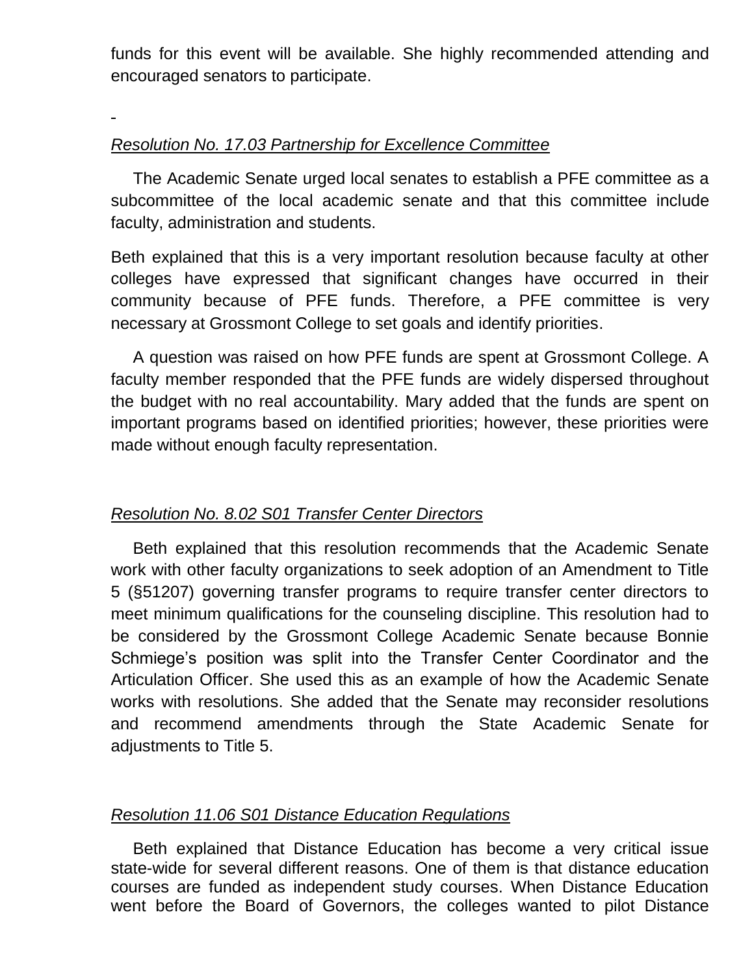funds for this event will be available. She highly recommended attending and encouraged senators to participate.

## *Resolution No. 17.03 Partnership for Excellence Committee*

The Academic Senate urged local senates to establish a PFE committee as a subcommittee of the local academic senate and that this committee include faculty, administration and students.

Beth explained that this is a very important resolution because faculty at other colleges have expressed that significant changes have occurred in their community because of PFE funds. Therefore, a PFE committee is very necessary at Grossmont College to set goals and identify priorities.

A question was raised on how PFE funds are spent at Grossmont College. A faculty member responded that the PFE funds are widely dispersed throughout the budget with no real accountability. Mary added that the funds are spent on important programs based on identified priorities; however, these priorities were made without enough faculty representation.

## *Resolution No. 8.02 S01 Transfer Center Directors*

Beth explained that this resolution recommends that the Academic Senate work with other faculty organizations to seek adoption of an Amendment to Title 5 (§51207) governing transfer programs to require transfer center directors to meet minimum qualifications for the counseling discipline. This resolution had to be considered by the Grossmont College Academic Senate because Bonnie Schmiege's position was split into the Transfer Center Coordinator and the Articulation Officer. She used this as an example of how the Academic Senate works with resolutions. She added that the Senate may reconsider resolutions and recommend amendments through the State Academic Senate for adjustments to Title 5.

## *Resolution 11.06 S01 Distance Education Regulations*

Beth explained that Distance Education has become a very critical issue state-wide for several different reasons. One of them is that distance education courses are funded as independent study courses. When Distance Education went before the Board of Governors, the colleges wanted to pilot Distance